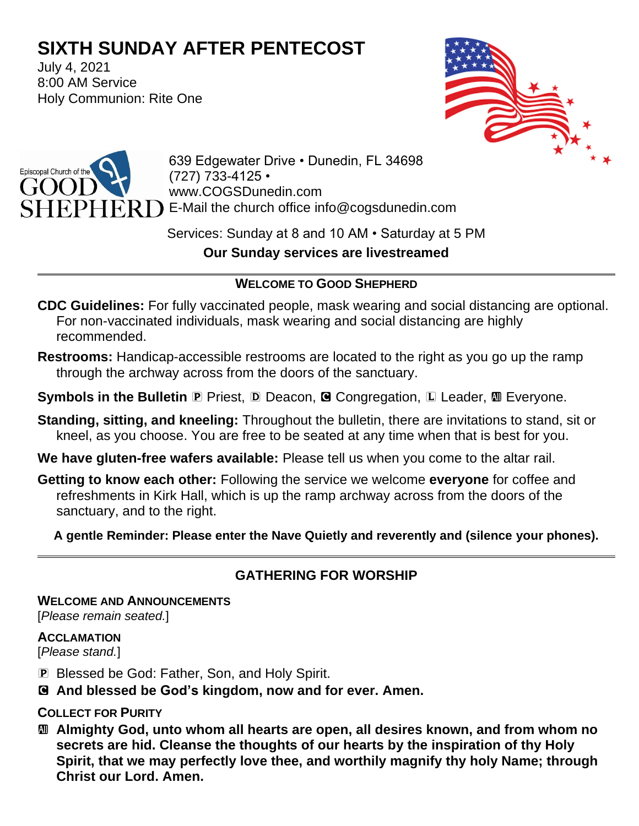# **SIXTH SUNDAY AFTER PENTECOST**

July 4, 2021 8:00 AM Service Holy Communion: Rite One





639 Edgewater Drive • Dunedin, FL 34698 (727) 733-4125 • www.COGSDunedin.com E-Mail the church office info@cogsdunedin.com

Services: Sunday at 8 and 10 AM • Saturday at 5 PM **Our Sunday services are livestreamed**

## **WELCOME TO GOOD SHEPHERD**

- **CDC Guidelines:** For fully vaccinated people, mask wearing and social distancing are optional. For non-vaccinated individuals, mask wearing and social distancing are highly recommended.
- **Restrooms:** Handicap-accessible restrooms are located to the right as you go up the ramp through the archway across from the doors of the sanctuary.
- **Symbols in the Bulletin P** Priest, **D** Deacon, **G** Congregation, **L** Leader, **M** Everyone.
- **Standing, sitting, and kneeling:** Throughout the bulletin, there are invitations to stand, sit or kneel, as you choose. You are free to be seated at any time when that is best for you.
- **We have gluten-free wafers available:** Please tell us when you come to the altar rail.
- **Getting to know each other:** Following the service we welcome **everyone** for coffee and refreshments in Kirk Hall, which is up the ramp archway across from the doors of the sanctuary, and to the right.

**A gentle Reminder: Please enter the Nave Quietly and reverently and (silence your phones).**

# **GATHERING FOR WORSHIP**

**WELCOME AND ANNOUNCEMENTS**

[*Please remain seated.*]

#### **ACCLAMATION**

[*Please stand.*]

- P Blessed be God: Father, Son, and Holy Spirit.
- C **And blessed be God's kingdom, now and for ever. Amen.**

### **COLLECT FOR PURITY**

a **Almighty God, unto whom all hearts are open, all desires known, and from whom no secrets are hid. Cleanse the thoughts of our hearts by the inspiration of thy Holy Spirit, that we may perfectly love thee, and worthily magnify thy holy Name; through Christ our Lord. Amen.**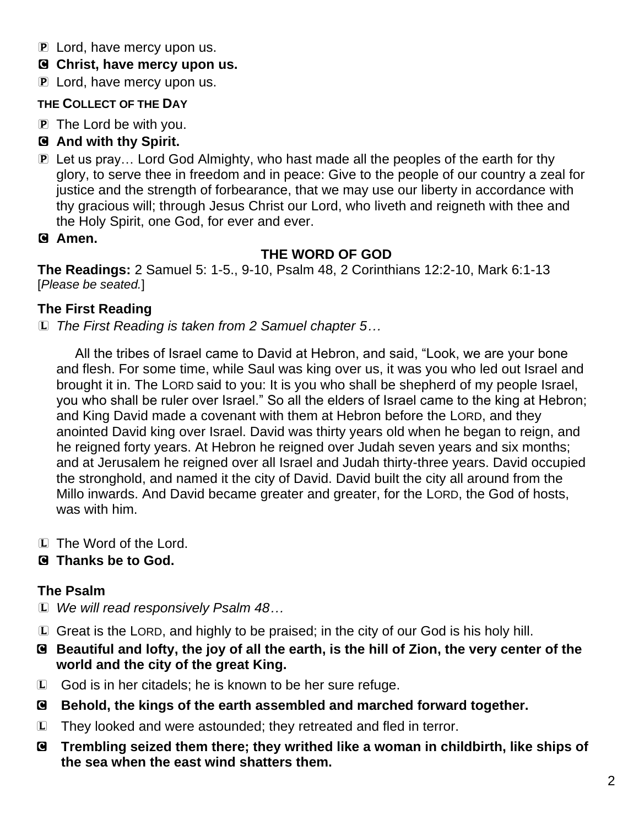- P Lord, have mercy upon us.
- C **Christ, have mercy upon us.**
- **P** Lord, have mercy upon us.

## **THE COLLECT OF THE DAY**

P The Lord be with you.

# C **And with thy Spirit.**

- P Let us pray… Lord God Almighty, who hast made all the peoples of the earth for thy glory, to serve thee in freedom and in peace: Give to the people of our country a zeal for justice and the strength of forbearance, that we may use our liberty in accordance with thy gracious will; through Jesus Christ our Lord, who liveth and reigneth with thee and the Holy Spirit, one God, for ever and ever.
- C **Amen.**

# **THE WORD OF GOD**

**The Readings:** 2 Samuel 5: 1-5., 9-10, Psalm 48, 2 Corinthians 12:2-10, Mark 6:1-13 [*Please be seated.*]

# **The First Reading**

L *The First Reading is taken from 2 Samuel chapter 5…*

All the tribes of Israel came to David at Hebron, and said, "Look, we are your bone and flesh. For some time, while Saul was king over us, it was you who led out Israel and brought it in. The LORD said to you: It is you who shall be shepherd of my people Israel, you who shall be ruler over Israel." So all the elders of Israel came to the king at Hebron; and King David made a covenant with them at Hebron before the LORD, and they anointed David king over Israel. David was thirty years old when he began to reign, and he reigned forty years. At Hebron he reigned over Judah seven years and six months; and at Jerusalem he reigned over all Israel and Judah thirty-three years. David occupied the stronghold, and named it the city of David. David built the city all around from the Millo inwards. And David became greater and greater, for the LORD, the God of hosts, was with him.

L The Word of the Lord.

# C **Thanks be to God.**

# **The Psalm**

- L *We will read responsively Psalm 48…*
- L Great is the LORD, and highly to be praised; in the city of our God is his holy hill.
- C **Beautiful and lofty, the joy of all the earth, is the hill of Zion, the very center of the world and the city of the great King.**
- L God is in her citadels; he is known to be her sure refuge.
- C **Behold, the kings of the earth assembled and marched forward together.**
- L They looked and were astounded; they retreated and fled in terror.
- C **Trembling seized them there; they writhed like a woman in childbirth, like ships of the sea when the east wind shatters them.**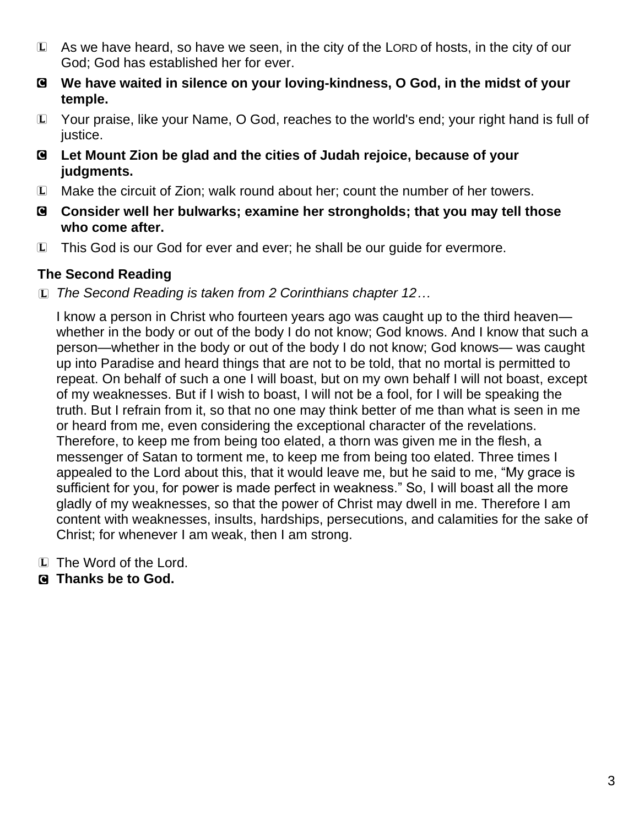- L As we have heard, so have we seen, in the city of the LORD of hosts, in the city of our God; God has established her for ever.
- C **We have waited in silence on your loving-kindness, O God, in the midst of your temple.**
- L Your praise, like your Name, O God, reaches to the world's end; your right hand is full of justice.
- C **Let Mount Zion be glad and the cities of Judah rejoice, because of your judgments.**
- L Make the circuit of Zion; walk round about her; count the number of her towers.
- C **Consider well her bulwarks; examine her strongholds; that you may tell those who come after.**
- L This God is our God for ever and ever; he shall be our guide for evermore.

## **The Second Reading**

L *The Second Reading is taken from 2 Corinthians chapter 12…*

I know a person in Christ who fourteen years ago was caught up to the third heaven whether in the body or out of the body I do not know; God knows. And I know that such a person—whether in the body or out of the body I do not know; God knows— was caught up into Paradise and heard things that are not to be told, that no mortal is permitted to repeat. On behalf of such a one I will boast, but on my own behalf I will not boast, except of my weaknesses. But if I wish to boast, I will not be a fool, for I will be speaking the truth. But I refrain from it, so that no one may think better of me than what is seen in me or heard from me, even considering the exceptional character of the revelations. Therefore, to keep me from being too elated, a thorn was given me in the flesh, a messenger of Satan to torment me, to keep me from being too elated. Three times I appealed to the Lord about this, that it would leave me, but he said to me, "My grace is sufficient for you, for power is made perfect in weakness." So, I will boast all the more gladly of my weaknesses, so that the power of Christ may dwell in me. Therefore I am content with weaknesses, insults, hardships, persecutions, and calamities for the sake of Christ; for whenever I am weak, then I am strong.

- L The Word of the Lord.
- C **Thanks be to God.**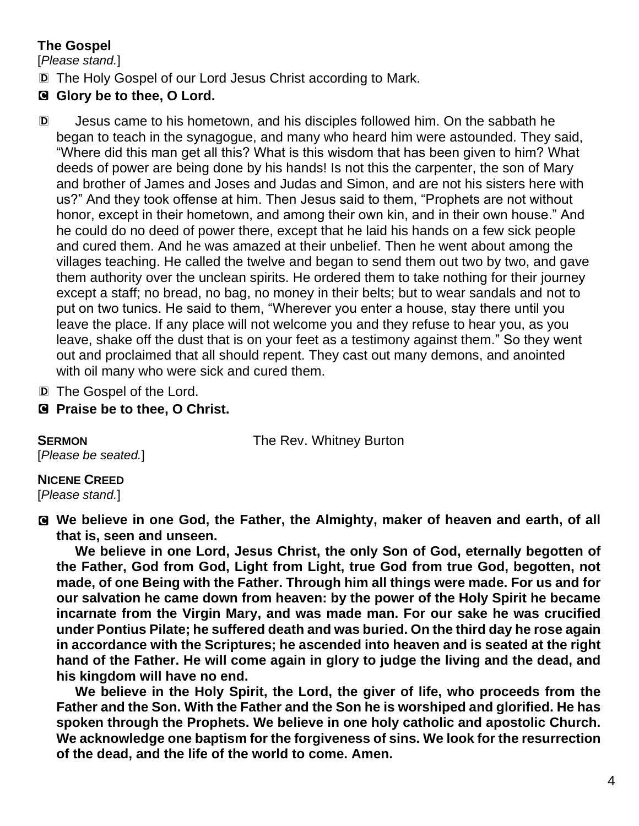# **The Gospel**

[*Please stand.*]

- D The Holy Gospel of our Lord Jesus Christ according to Mark.
- C **Glory be to thee, O Lord.**
- D Jesus came to his hometown, and his disciples followed him. On the sabbath he began to teach in the synagogue, and many who heard him were astounded. They said, "Where did this man get all this? What is this wisdom that has been given to him? What deeds of power are being done by his hands! Is not this the carpenter, the son of Mary and brother of James and Joses and Judas and Simon, and are not his sisters here with us?" And they took offense at him. Then Jesus said to them, "Prophets are not without honor, except in their hometown, and among their own kin, and in their own house." And he could do no deed of power there, except that he laid his hands on a few sick people and cured them. And he was amazed at their unbelief. Then he went about among the villages teaching. He called the twelve and began to send them out two by two, and gave them authority over the unclean spirits. He ordered them to take nothing for their journey except a staff; no bread, no bag, no money in their belts; but to wear sandals and not to put on two tunics. He said to them, "Wherever you enter a house, stay there until you leave the place. If any place will not welcome you and they refuse to hear you, as you leave, shake off the dust that is on your feet as a testimony against them." So they went out and proclaimed that all should repent. They cast out many demons, and anointed with oil many who were sick and cured them.
- D The Gospel of the Lord.
- C **Praise be to thee, O Christ.**

**SERMON** The Rev. Whitney Burton

[*Please be seated.*]

**NICENE CREED**  [*Please stand.*]

C **We believe in one God, the Father, the Almighty, maker of heaven and earth, of all that is, seen and unseen.** 

**We believe in one Lord, Jesus Christ, the only Son of God, eternally begotten of the Father, God from God, Light from Light, true God from true God, begotten, not made, of one Being with the Father. Through him all things were made. For us and for our salvation he came down from heaven: by the power of the Holy Spirit he became incarnate from the Virgin Mary, and was made man. For our sake he was crucified under Pontius Pilate; he suffered death and was buried. On the third day he rose again in accordance with the Scriptures; he ascended into heaven and is seated at the right hand of the Father. He will come again in glory to judge the living and the dead, and his kingdom will have no end.**

**We believe in the Holy Spirit, the Lord, the giver of life, who proceeds from the Father and the Son. With the Father and the Son he is worshiped and glorified. He has spoken through the Prophets. We believe in one holy catholic and apostolic Church. We acknowledge one baptism for the forgiveness of sins. We look for the resurrection of the dead, and the life of the world to come. Amen.**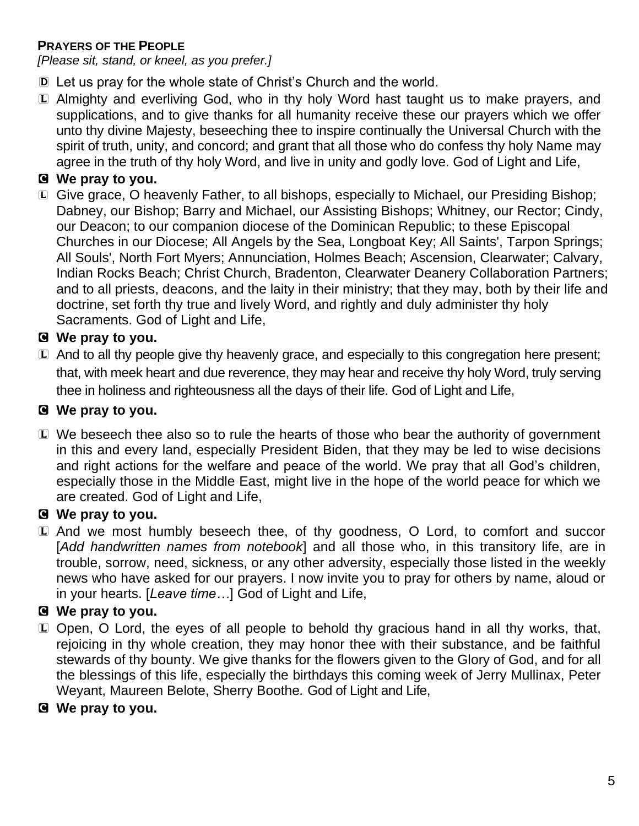#### **PRAYERS OF THE PEOPLE**

*[Please sit, stand, or kneel, as you prefer.]*

- D Let us pray for the whole state of Christ's Church and the world.
- L Almighty and everliving God, who in thy holy Word hast taught us to make prayers, and supplications, and to give thanks for all humanity receive these our prayers which we offer unto thy divine Majesty, beseeching thee to inspire continually the Universal Church with the spirit of truth, unity, and concord; and grant that all those who do confess thy holy Name may agree in the truth of thy holy Word, and live in unity and godly love. God of Light and Life,

## C **We pray to you.**

L Give grace, O heavenly Father, to all bishops, especially to Michael, our Presiding Bishop; Dabney, our Bishop; Barry and Michael, our Assisting Bishops; Whitney, our Rector; Cindy, our Deacon; to our companion diocese of the Dominican Republic; to these Episcopal Churches in our Diocese; All Angels by the Sea, Longboat Key; All Saints', Tarpon Springs; All Souls', North Fort Myers; Annunciation, Holmes Beach; Ascension, Clearwater; Calvary, Indian Rocks Beach; Christ Church, Bradenton, Clearwater Deanery Collaboration Partners; and to all priests, deacons, and the laity in their ministry; that they may, both by their life and doctrine, set forth thy true and lively Word, and rightly and duly administer thy holy Sacraments. God of Light and Life,

## C **We pray to you.**

L And to all thy people give thy heavenly grace, and especially to this congregation here present; that, with meek heart and due reverence, they may hear and receive thy holy Word, truly serving thee in holiness and righteousness all the days of their life. God of Light and Life,

#### C **We pray to you.**

L We beseech thee also so to rule the hearts of those who bear the authority of government in this and every land, especially President Biden, that they may be led to wise decisions and right actions for the welfare and peace of the world. We pray that all God's children, especially those in the Middle East, might live in the hope of the world peace for which we are created. God of Light and Life,

### C **We pray to you.**

L And we most humbly beseech thee, of thy goodness, O Lord, to comfort and succor [*Add handwritten names from notebook*] and all those who, in this transitory life, are in trouble, sorrow, need, sickness, or any other adversity, especially those listed in the weekly news who have asked for our prayers. I now invite you to pray for others by name, aloud or in your hearts. [*Leave time…*] God of Light and Life,

### C **We pray to you.**

L Open, O Lord, the eyes of all people to behold thy gracious hand in all thy works, that, rejoicing in thy whole creation, they may honor thee with their substance, and be faithful stewards of thy bounty. We give thanks for the flowers given to the Glory of God, and for all the blessings of this life, especially the birthdays this coming week of Jerry Mullinax, Peter Weyant, Maureen Belote, Sherry Boothe*.* God of Light and Life,

### C **We pray to you.**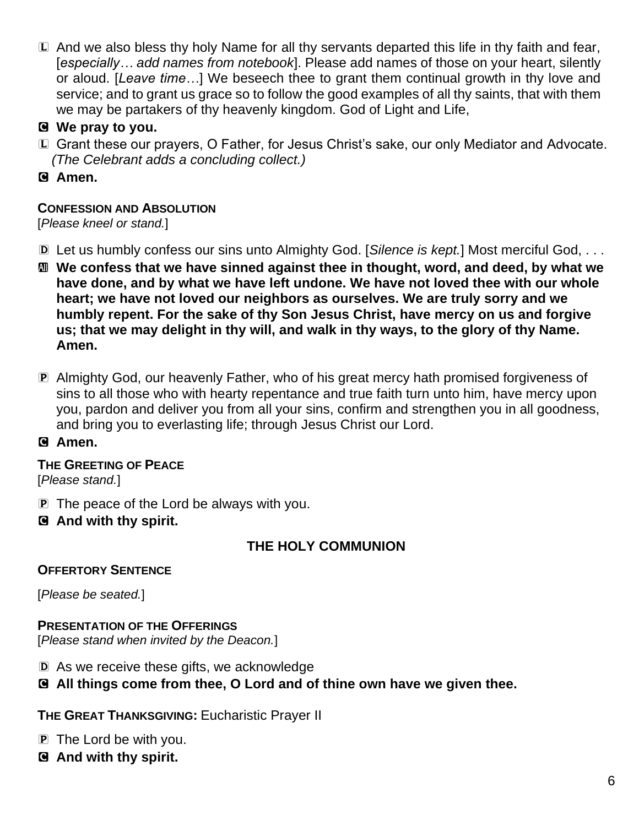- L And we also bless thy holy Name for all thy servants departed this life in thy faith and fear, [*especially… add names from notebook*]. Please add names of those on your heart, silently or aloud. [*Leave time…*] We beseech thee to grant them continual growth in thy love and service; and to grant us grace so to follow the good examples of all thy saints, that with them we may be partakers of thy heavenly kingdom. God of Light and Life,
- C **We pray to you.**
- L Grant these our prayers, O Father, for Jesus Christ's sake, our only Mediator and Advocate. *(The Celebrant adds a concluding collect.)*
- C **Amen.**

### **CONFESSION AND ABSOLUTION**

[*Please kneel or stand.*]

- D Let us humbly confess our sins unto Almighty God. [*Silence is kept.*] Most merciful God, . . .
- a **We confess that we have sinned against thee in thought, word, and deed, by what we have done, and by what we have left undone. We have not loved thee with our whole heart; we have not loved our neighbors as ourselves. We are truly sorry and we humbly repent. For the sake of thy Son Jesus Christ, have mercy on us and forgive us; that we may delight in thy will, and walk in thy ways, to the glory of thy Name. Amen.**
- P Almighty God, our heavenly Father, who of his great mercy hath promised forgiveness of sins to all those who with hearty repentance and true faith turn unto him, have mercy upon you, pardon and deliver you from all your sins, confirm and strengthen you in all goodness, and bring you to everlasting life; through Jesus Christ our Lord.

### C **Amen.**

#### **THE GREETING OF PEACE** [*Please stand.*]

- P The peace of the Lord be always with you.
- C **And with thy spirit.**

# **THE HOLY COMMUNION**

### **OFFERTORY SENTENCE**

[*Please be seated.*]

#### **PRESENTATION OF THE OFFERINGS**

[*Please stand when invited by the Deacon.*]

- D As we receive these gifts, we acknowledge
- C **All things come from thee, O Lord and of thine own have we given thee.**

**THE GREAT THANKSGIVING:** Eucharistic Prayer II

- P The Lord be with you.
- C **And with thy spirit.**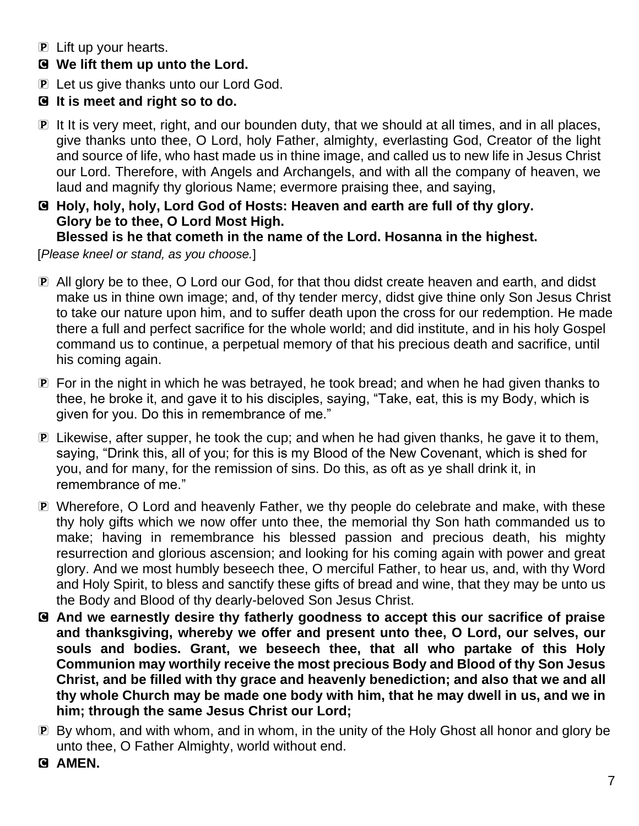- P Lift up your hearts.
- C **We lift them up unto the Lord.**
- P Let us give thanks unto our Lord God.
- C **It is meet and right so to do.**
- P It It is very meet, right, and our bounden duty, that we should at all times, and in all places, give thanks unto thee, O Lord, holy Father, almighty, everlasting God, Creator of the light and source of life, who hast made us in thine image, and called us to new life in Jesus Christ our Lord. Therefore, with Angels and Archangels, and with all the company of heaven, we laud and magnify thy glorious Name; evermore praising thee, and saying,
- C **Holy, holy, holy, Lord God of Hosts: Heaven and earth are full of thy glory. Glory be to thee, O Lord Most High.**

## **Blessed is he that cometh in the name of the Lord. Hosanna in the highest.**

[*Please kneel or stand, as you choose.*]

- P All glory be to thee, O Lord our God, for that thou didst create heaven and earth, and didst make us in thine own image; and, of thy tender mercy, didst give thine only Son Jesus Christ to take our nature upon him, and to suffer death upon the cross for our redemption. He made there a full and perfect sacrifice for the whole world; and did institute, and in his holy Gospel command us to continue, a perpetual memory of that his precious death and sacrifice, until his coming again.
- P For in the night in which he was betrayed, he took bread; and when he had given thanks to thee, he broke it, and gave it to his disciples, saying, "Take, eat, this is my Body, which is given for you. Do this in remembrance of me."
- P Likewise, after supper, he took the cup; and when he had given thanks, he gave it to them, saying, "Drink this, all of you; for this is my Blood of the New Covenant, which is shed for you, and for many, for the remission of sins. Do this, as oft as ye shall drink it, in remembrance of me."
- P Wherefore, O Lord and heavenly Father, we thy people do celebrate and make, with these thy holy gifts which we now offer unto thee, the memorial thy Son hath commanded us to make; having in remembrance his blessed passion and precious death, his mighty resurrection and glorious ascension; and looking for his coming again with power and great glory. And we most humbly beseech thee, O merciful Father, to hear us, and, with thy Word and Holy Spirit, to bless and sanctify these gifts of bread and wine, that they may be unto us the Body and Blood of thy dearly-beloved Son Jesus Christ.
- C **And we earnestly desire thy fatherly goodness to accept this our sacrifice of praise and thanksgiving, whereby we offer and present unto thee, O Lord, our selves, our souls and bodies. Grant, we beseech thee, that all who partake of this Holy Communion may worthily receive the most precious Body and Blood of thy Son Jesus Christ, and be filled with thy grace and heavenly benediction; and also that we and all thy whole Church may be made one body with him, that he may dwell in us, and we in him; through the same Jesus Christ our Lord;**
- P By whom, and with whom, and in whom, in the unity of the Holy Ghost all honor and glory be unto thee, O Father Almighty, world without end.
- G AMEN.